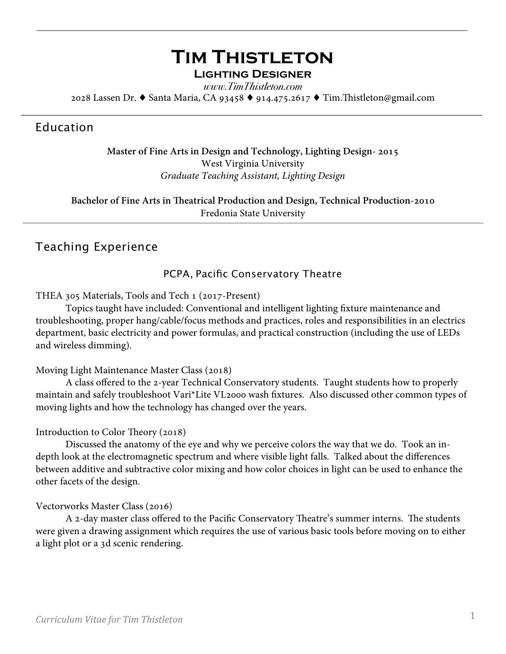# **Tim Thistleton Lighting Designer**

*www.TimThistleton.com* 2028 Lassen Dr. ♦ Santa Maria, CA 93458 ♦ 914.475.2617 ♦ Tim.Tistleton@gmail.com

## Education

## **Master of Fine Arts in Design and Technology, Lighting Design- 2015** West Virginia University *Graduate Teaching Assistant, Lighting Design*

**Bachelor of Fine Arts in Teatrical Production and Design, Technical Production-2010** Fredonia State University

## Teaching Experience

### PCPA, Pacific Conservatory Theatre

### THEA 305 Materials, Tools and Tech 1 (2017-Present)

 Topics taught have included: Conventional and intelligent lighting fxture maintenance and troubleshooting, proper hang/cable/focus methods and practices, roles and responsibilities in an electrics department, basic electricity and power formulas, and practical construction (including the use of LEDs and wireless dimming).

### Moving Light Maintenance Master Class (2018)

 A class ofered to the 2-year Technical Conservatory students. Taught students how to properly maintain and safely troubleshoot Vari\*Lite VL2000 wash fxtures. Also discussed other common types of moving lights and how the technology has changed over the years.

### Introduction to Color Theory (2018)

 Discussed the anatomy of the eye and why we perceive colors the way that we do. Took an indepth look at the electromagnetic spectrum and where visible light falls. Talked about the diferences between additive and subtractive color mixing and how color choices in light can be used to enhance the other facets of the design.

### Vectorworks Master Class (2016)

A 2-day master class offered to the Pacific Conservatory Theatre's summer interns. The students were given a drawing assignment which requires the use of various basic tools before moving on to either a light plot or a 3d scenic rendering.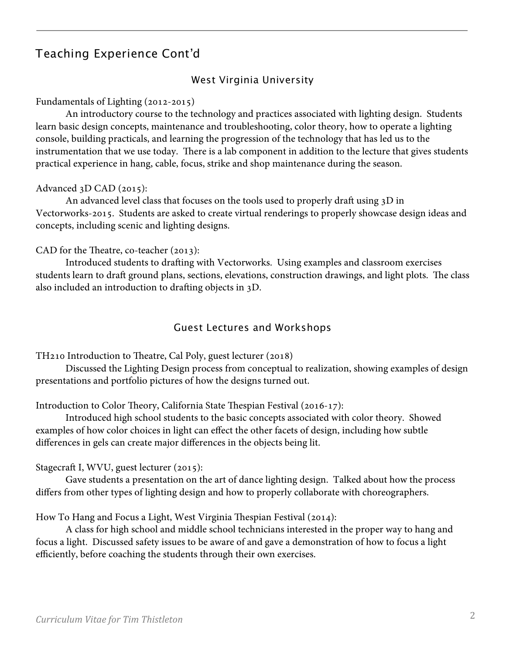# Teaching Experience Cont'd

### West Virginia University

#### Fundamentals of Lighting (2012-2015)

An introductory course to the technology and practices associated with lighting design. Students learn basic design concepts, maintenance and troubleshooting, color theory, how to operate a lighting console, building practicals, and learning the progression of the technology that has led us to the instrumentation that we use today. There is a lab component in addition to the lecture that gives students practical experience in hang, cable, focus, strike and shop maintenance during the season.

#### Advanced 3D CAD (2015):

An advanced level class that focuses on the tools used to properly draft using  $3D$  in Vectorworks-2015. Students are asked to create virtual renderings to properly showcase design ideas and concepts, including scenic and lighting designs.

#### CAD for the Theatre, co-teacher  $(2013)$ :

 Introduced students to drafing with Vectorworks. Using examples and classroom exercises students learn to draft ground plans, sections, elevations, construction drawings, and light plots. The class also included an introduction to drafing objects in 3D.

### Guest Lectures and Workshops

TH210 Introduction to Theatre, Cal Poly, guest lecturer (2018)

 Discussed the Lighting Design process from conceptual to realization, showing examples of design presentations and portfolio pictures of how the designs turned out.

Introduction to Color Theory, California State Thespian Festival (2016-17):

 Introduced high school students to the basic concepts associated with color theory. Showed examples of how color choices in light can efect the other facets of design, including how subtle diferences in gels can create major diferences in the objects being lit.

Stagecraft I, WVU, guest lecturer (2015):

 Gave students a presentation on the art of dance lighting design. Talked about how the process difers from other types of lighting design and how to properly collaborate with choreographers.

How To Hang and Focus a Light, West Virginia Thespian Festival (2014):

 A class for high school and middle school technicians interested in the proper way to hang and focus a light. Discussed safety issues to be aware of and gave a demonstration of how to focus a light efficiently, before coaching the students through their own exercises.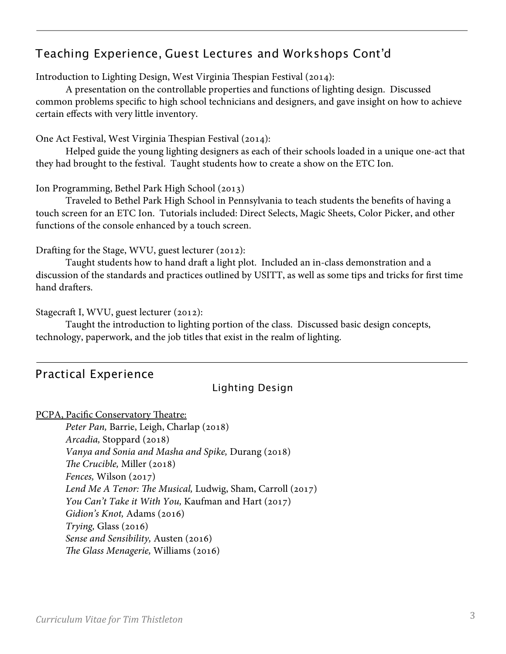# Teaching Experience, Guest Lectures and Workshops Cont'd

Introduction to Lighting Design, West Virginia Thespian Festival (2014):

 A presentation on the controllable properties and functions of lighting design. Discussed common problems specifc to high school technicians and designers, and gave insight on how to achieve certain efects with very little inventory.

One Act Festival, West Virginia Thespian Festival (2014):

 Helped guide the young lighting designers as each of their schools loaded in a unique one-act that they had brought to the festival. Taught students how to create a show on the ETC Ion.

Ion Programming, Bethel Park High School (2013)

 Traveled to Bethel Park High School in Pennsylvania to teach students the benefts of having a touch screen for an ETC Ion. Tutorials included: Direct Selects, Magic Sheets, Color Picker, and other functions of the console enhanced by a touch screen.

Drafing for the Stage, WVU, guest lecturer (2012):

Taught students how to hand draft a light plot. Included an in-class demonstration and a discussion of the standards and practices outlined by USITT, as well as some tips and tricks for frst time hand drafters.

Stagecraft I, WVU, guest lecturer (2012):

 Taught the introduction to lighting portion of the class. Discussed basic design concepts, technology, paperwork, and the job titles that exist in the realm of lighting.

## Practical Experience

## Lighting Design

PCPA, Pacific Conservatory Theatre:

Peter Pan, Barrie, Leigh, Charlap (2018) *Arcadia,* Stoppard (2018) *Vanya and Sonia and Masha and Spike,* Durang (2018) *Te Crucible,* Miller (2018) *Fences,* Wilson (2017)  *Lend Me A Tenor: Te Musical,* Ludwig, Sham, Carroll (2017)  *You Can't Take it With You,* Kaufman and Hart (2017)  *Gidion's Knot,* Adams (2016)  *Trying,* Glass (2016)  *Sense and Sensibility,* Austen (2016) *Te Glass Menagerie,* Williams (2016)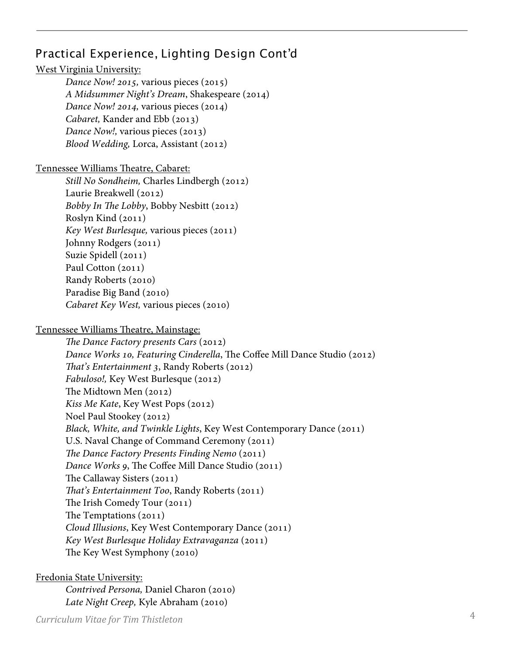# Practical Experience, Lighting Design Cont'd

### West Virginia University:

*Dance Now! 2015,* various pieces (2015) *A Midsummer Night's Dream*, Shakespeare (2014) *Dance Now! 2014,* various pieces (2014) *Cabaret,* Kander and Ebb (2013) *Dance Now!, various pieces (2013) Blood Wedding,* Lorca, Assistant (2012)

### Tennessee Williams Theatre, Cabaret:

*Still No Sondheim,* Charles Lindbergh (2012) Laurie Breakwell (2012) *Bobby In Te Lobby*, Bobby Nesbitt (2012) Roslyn Kind (2011) *Key West Burlesque,* various pieces (2011) Johnny Rodgers (2011) Suzie Spidell (2011) Paul Cotton (2011) Randy Roberts (2010) Paradise Big Band (2010) *Cabaret Key West,* various pieces (2010)

### Tennessee Williams Theatre, Mainstage:

*Te Dance Factory presents Cars* (2012) *Dance Works 10, Featuring Cinderella, The Coffee Mill Dance Studio (2012) Tat's Entertainment 3*, Randy Roberts (2012) *Fabuloso!,* Key West Burlesque (2012) The Midtown Men (2012) *Kiss Me Kate*, Key West Pops (2012) Noel Paul Stookey (2012) *Black, White, and Twinkle Lights*, Key West Contemporary Dance (2011) U.S. Naval Change of Command Ceremony (2011) *Te Dance Factory Presents Finding Nemo* (2011) *Dance Works 9, The Coffee Mill Dance Studio (2011)* The Callaway Sisters (2011) *Tat's Entertainment Too*, Randy Roberts (2011) The Irish Comedy Tour (2011) The Temptations  $(2011)$ *Cloud Illusions*, Key West Contemporary Dance (2011) *Key West Burlesque Holiday Extravaganza* (2011) The Key West Symphony (2010)

### Fredonia State University:

*Contrived Persona,* Daniel Charon (2010) *Late Night Creep,* Kyle Abraham (2010)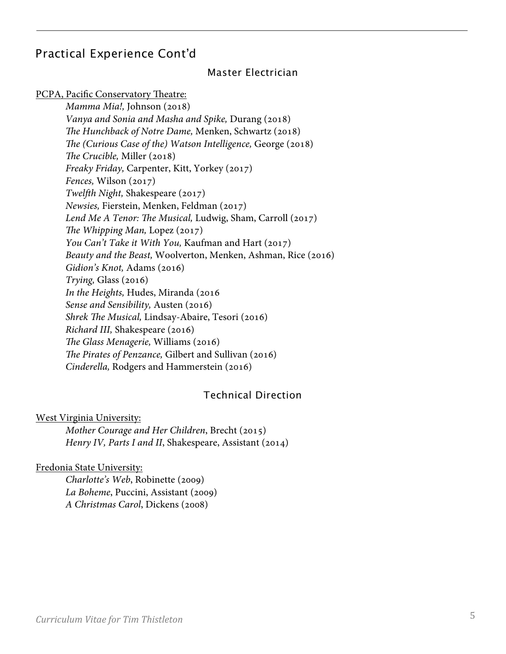## Practical Experience Cont'd

### Master Electrician

PCPA, Pacific Conservatory Theatre:

*Mamma Mia!,* Johnson (2018) *Vanya and Sonia and Masha and Spike,* Durang (2018) *Te Hunchback of Notre Dame,* Menken, Schwartz (2018) *Te (Curious Case of the) Watson Intelligence,* George (2018) *Te Crucible,* Miller (2018) *Freaky Friday,* Carpenter, Kitt, Yorkey (2017) *Fences,* Wilson (2017)  *Twelfh Night,* Shakespeare (2017)  *Newsies,* Fierstein, Menken, Feldman (2017)  *Lend Me A Tenor: Te Musical,* Ludwig, Sham, Carroll (2017) *The Whipping Man, Lopez (2017) You Can't Take it With You,* Kaufman and Hart (2017)  *Beauty and the Beast,* Woolverton, Menken, Ashman, Rice (2016)  *Gidion's Knot,* Adams (2016)  *Trying,* Glass (2016)  *In the Heights,* Hudes, Miranda (2016  *Sense and Sensibility,* Austen (2016)  *Shrek Te Musical,* Lindsay-Abaire, Tesori (2016) *Richard III,* Shakespeare (2016) *Te Glass Menagerie,* Williams (2016) *Te Pirates of Penzance,* Gilbert and Sullivan (2016) *Cinderella,* Rodgers and Hammerstein (2016)

### Technical Direction

West Virginia University:

*Mother Courage and Her Children*, Brecht (2015) *Henry IV, Parts I and II*, Shakespeare, Assistant (2014)

#### Fredonia State University:

*Charlotte's Web*, Robinette (2009) *La Boheme*, Puccini, Assistant (2009) *A Christmas Carol*, Dickens (2008)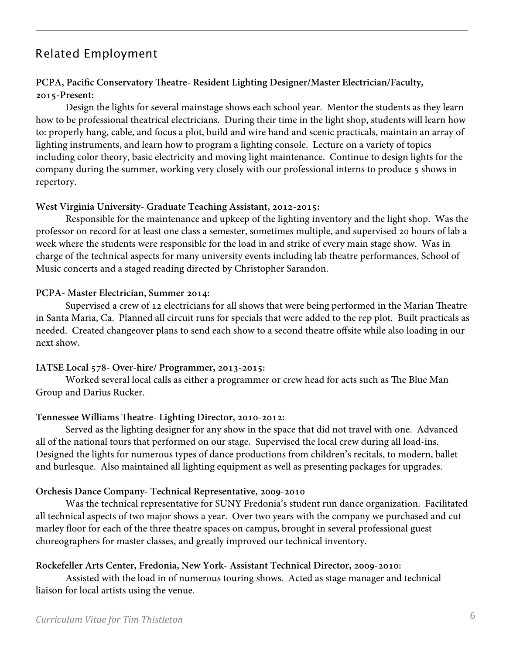## Related Employment

### **PCPA, Pacifc Conservatory Teatre- Resident Lighting Designer/Master Electrician/Faculty, 2015-Present:**

Design the lights for several mainstage shows each school year. Mentor the students as they learn how to be professional theatrical electricians. During their time in the light shop, students will learn how to: properly hang, cable, and focus a plot, build and wire hand and scenic practicals, maintain an array of lighting instruments, and learn how to program a lighting console. Lecture on a variety of topics including color theory, basic electricity and moving light maintenance. Continue to design lights for the company during the summer, working very closely with our professional interns to produce 5 shows in repertory.

#### **West Virginia University- Graduate Teaching Assistant, 2012-2015:**

 Responsible for the maintenance and upkeep of the lighting inventory and the light shop. Was the professor on record for at least one class a semester, sometimes multiple, and supervised 20 hours of lab a week where the students were responsible for the load in and strike of every main stage show. Was in charge of the technical aspects for many university events including lab theatre performances, School of Music concerts and a staged reading directed by Christopher Sarandon.

#### **PCPA- Master Electrician, Summer 2014:**

Supervised a crew of 12 electricians for all shows that were being performed in the Marian Theatre in Santa Maria, Ca. Planned all circuit runs for specials that were added to the rep plot. Built practicals as needed. Created changeover plans to send each show to a second theatre ofsite while also loading in our next show.

#### **IATSE Local 578- Over-hire/ Programmer, 2013-2015:**

Worked several local calls as either a programmer or crew head for acts such as The Blue Man Group and Darius Rucker.

#### **Tennessee Williams Teatre- Lighting Director, 2010-2012:**

Served as the lighting designer for any show in the space that did not travel with one. Advanced all of the national tours that performed on our stage. Supervised the local crew during all load-ins. Designed the lights for numerous types of dance productions from children's recitals, to modern, ballet and burlesque. Also maintained all lighting equipment as well as presenting packages for upgrades.

#### **Orchesis Dance Company- Technical Representative, 2009-2010**

Was the technical representative for SUNY Fredonia's student run dance organization. Facilitated all technical aspects of two major shows a year. Over two years with the company we purchased and cut marley floor for each of the three theatre spaces on campus, brought in several professional guest choreographers for master classes, and greatly improved our technical inventory.

#### **Rockefeller Arts Center, Fredonia, New York- Assistant Technical Director, 2009-2010:**

 Assisted with the load in of numerous touring shows. Acted as stage manager and technical liaison for local artists using the venue.